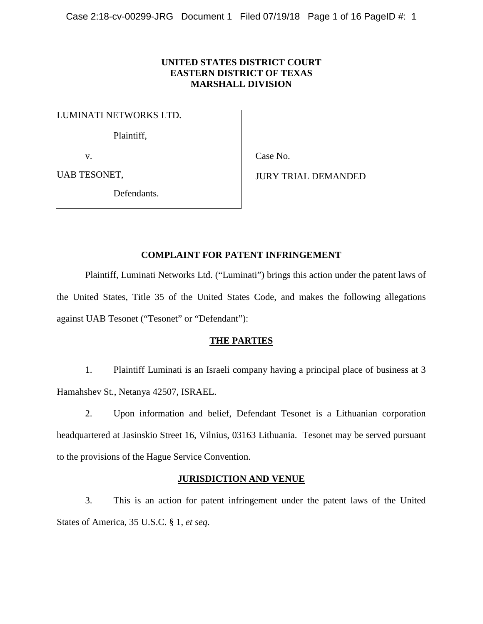# **UNITED STATES DISTRICT COURT EASTERN DISTRICT OF TEXAS MARSHALL DIVISION**

LUMINATI NETWORKS LTD.

Plaintiff,

v.

Case No.

UAB TESONET,

Defendants.

JURY TRIAL DEMANDED

# **COMPLAINT FOR PATENT INFRINGEMENT**

Plaintiff, Luminati Networks Ltd. ("Luminati") brings this action under the patent laws of the United States, Title 35 of the United States Code, and makes the following allegations against UAB Tesonet ("Tesonet" or "Defendant"):

# **THE PARTIES**

1. Plaintiff Luminati is an Israeli company having a principal place of business at 3 Hamahshev St., Netanya 42507, ISRAEL.

2. Upon information and belief, Defendant Tesonet is a Lithuanian corporation headquartered at Jasinskio Street 16, Vilnius, 03163 Lithuania. Tesonet may be served pursuant to the provisions of the Hague Service Convention.

# **JURISDICTION AND VENUE**

3. This is an action for patent infringement under the patent laws of the United States of America, 35 U.S.C. § 1, *et seq*.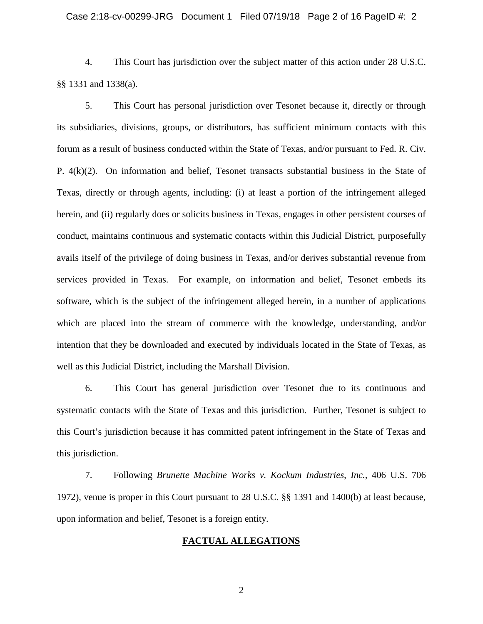4. This Court has jurisdiction over the subject matter of this action under 28 U.S.C. §§ 1331 and 1338(a).

5. This Court has personal jurisdiction over Tesonet because it, directly or through its subsidiaries, divisions, groups, or distributors, has sufficient minimum contacts with this forum as a result of business conducted within the State of Texas, and/or pursuant to Fed. R. Civ. P. 4(k)(2). On information and belief, Tesonet transacts substantial business in the State of Texas, directly or through agents, including: (i) at least a portion of the infringement alleged herein, and (ii) regularly does or solicits business in Texas, engages in other persistent courses of conduct, maintains continuous and systematic contacts within this Judicial District, purposefully avails itself of the privilege of doing business in Texas, and/or derives substantial revenue from services provided in Texas. For example, on information and belief, Tesonet embeds its software, which is the subject of the infringement alleged herein, in a number of applications which are placed into the stream of commerce with the knowledge, understanding, and/or intention that they be downloaded and executed by individuals located in the State of Texas, as well as this Judicial District, including the Marshall Division.

6. This Court has general jurisdiction over Tesonet due to its continuous and systematic contacts with the State of Texas and this jurisdiction. Further, Tesonet is subject to this Court's jurisdiction because it has committed patent infringement in the State of Texas and this jurisdiction.

7. Following *Brunette Machine Works v. Kockum Industries, Inc.*, 406 U.S. 706 1972), venue is proper in this Court pursuant to 28 U.S.C. §§ 1391 and 1400(b) at least because, upon information and belief, Tesonet is a foreign entity.

#### **FACTUAL ALLEGATIONS**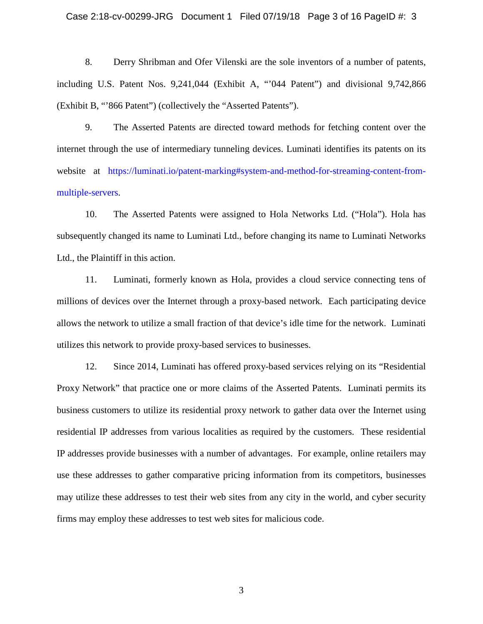#### Case 2:18-cv-00299-JRG Document 1 Filed 07/19/18 Page 3 of 16 PageID #: 3

8. Derry Shribman and Ofer Vilenski are the sole inventors of a number of patents, including U.S. Patent Nos. 9,241,044 (Exhibit A, "'044 Patent") and divisional 9,742,866 (Exhibit B, "'866 Patent") (collectively the "Asserted Patents").

9. The Asserted Patents are directed toward methods for fetching content over the internet through the use of intermediary tunneling devices. Luminati identifies its patents on its website at [https://luminati.io/patent-marking#system-and-method-for-streaming-content-from](https://luminati.io/patent-marking#system-and-method-for-streaming-content-from-multiple-servers)[multiple-servers.](https://luminati.io/patent-marking#system-and-method-for-streaming-content-from-multiple-servers)

10. The Asserted Patents were assigned to Hola Networks Ltd. ("Hola"). Hola has subsequently changed its name to Luminati Ltd., before changing its name to Luminati Networks Ltd., the Plaintiff in this action.

11. Luminati, formerly known as Hola, provides a cloud service connecting tens of millions of devices over the Internet through a proxy-based network. Each participating device allows the network to utilize a small fraction of that device's idle time for the network. Luminati utilizes this network to provide proxy-based services to businesses.

12. Since 2014, Luminati has offered proxy-based services relying on its "Residential Proxy Network" that practice one or more claims of the Asserted Patents. Luminati permits its business customers to utilize its residential proxy network to gather data over the Internet using residential IP addresses from various localities as required by the customers. These residential IP addresses provide businesses with a number of advantages. For example, online retailers may use these addresses to gather comparative pricing information from its competitors, businesses may utilize these addresses to test their web sites from any city in the world, and cyber security firms may employ these addresses to test web sites for malicious code.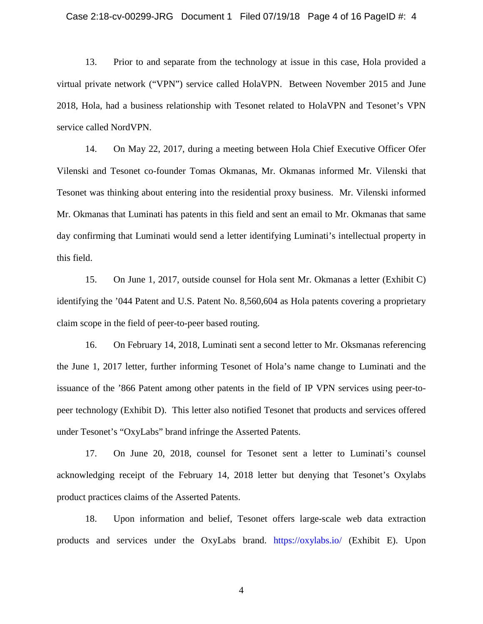#### Case 2:18-cv-00299-JRG Document 1 Filed 07/19/18 Page 4 of 16 PageID #: 4

13. Prior to and separate from the technology at issue in this case, Hola provided a virtual private network ("VPN") service called HolaVPN. Between November 2015 and June 2018, Hola, had a business relationship with Tesonet related to HolaVPN and Tesonet's VPN service called NordVPN.

14. On May 22, 2017, during a meeting between Hola Chief Executive Officer Ofer Vilenski and Tesonet co-founder Tomas Okmanas, Mr. Okmanas informed Mr. Vilenski that Tesonet was thinking about entering into the residential proxy business. Mr. Vilenski informed Mr. Okmanas that Luminati has patents in this field and sent an email to Mr. Okmanas that same day confirming that Luminati would send a letter identifying Luminati's intellectual property in this field.

15. On June 1, 2017, outside counsel for Hola sent Mr. Okmanas a letter (Exhibit C) identifying the '044 Patent and U.S. Patent No. 8,560,604 as Hola patents covering a proprietary claim scope in the field of peer-to-peer based routing.

16. On February 14, 2018, Luminati sent a second letter to Mr. Oksmanas referencing the June 1, 2017 letter, further informing Tesonet of Hola's name change to Luminati and the issuance of the '866 Patent among other patents in the field of IP VPN services using peer-topeer technology (Exhibit D). This letter also notified Tesonet that products and services offered under Tesonet's "OxyLabs" brand infringe the Asserted Patents.

17. On June 20, 2018, counsel for Tesonet sent a letter to Luminati's counsel acknowledging receipt of the February 14, 2018 letter but denying that Tesonet's Oxylabs product practices claims of the Asserted Patents.

18. Upon information and belief, Tesonet offers large-scale web data extraction products and services under the OxyLabs brand. <https://oxylabs.io/> (Exhibit E). Upon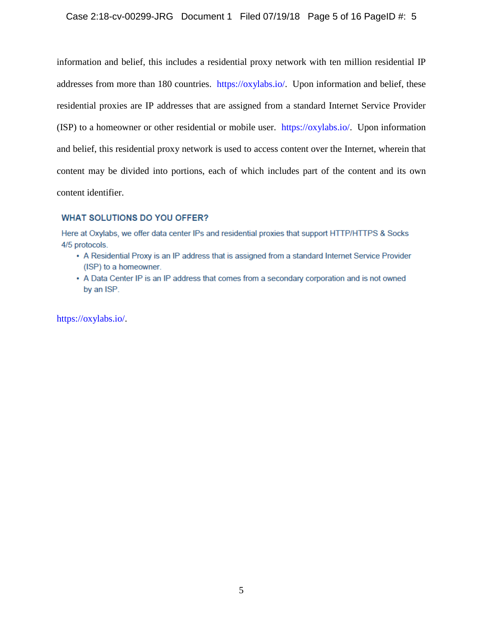# Case 2:18-cv-00299-JRG Document 1 Filed 07/19/18 Page 5 of 16 PageID #: 5

information and belief, this includes a residential proxy network with ten million residential IP addresses from more than 180 countries. [https://oxylabs.io/.](https://oxylabs.io/) Upon information and belief, these residential proxies are IP addresses that are assigned from a standard Internet Service Provider (ISP) to a homeowner or other residential or mobile user. [https://oxylabs.io/.](https://oxylabs.io/) Upon information and belief, this residential proxy network is used to access content over the Internet, wherein that content may be divided into portions, each of which includes part of the content and its own content identifier.

#### **WHAT SOLUTIONS DO YOU OFFER?**

Here at Oxylabs, we offer data center IPs and residential proxies that support HTTP/HTTPS & Socks 4/5 protocols.

- A Residential Proxy is an IP address that is assigned from a standard Internet Service Provider (ISP) to a homeowner.
- A Data Center IP is an IP address that comes from a secondary corporation and is not owned by an ISP.

[https://oxylabs.io/.](https://oxylabs.io/)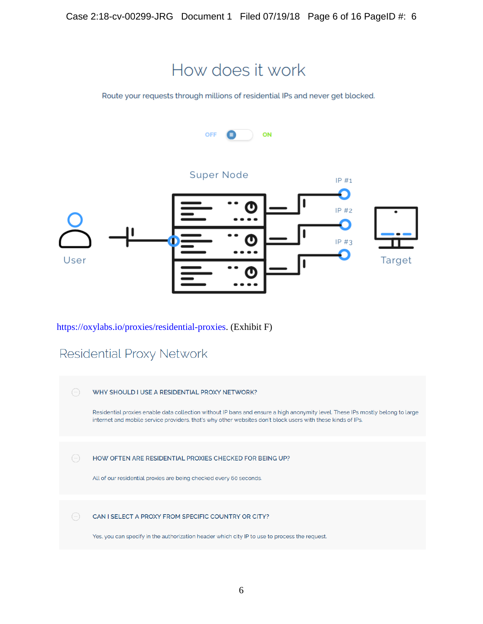

How does it work

Route your requests through millions of residential IPs and never get blocked.



# [https://oxylabs.io/proxies/residential-proxies.](https://oxylabs.io/proxies/residential-proxies) (Exhibit F)

# Residential Proxy Network

| WHY SHOULD I USE A RESIDENTIAL PROXY NETWORK?                                                                                                                                                                                                 |
|-----------------------------------------------------------------------------------------------------------------------------------------------------------------------------------------------------------------------------------------------|
| Residential proxies enable data collection without IP bans and ensure a high anonymity level. These IPs mostly belong to large<br>internet and mobile service providers, that's why other websites don't block users with these kinds of IPs. |
|                                                                                                                                                                                                                                               |
| HOW OFTEN ARE RESIDENTIAL PROXIES CHECKED FOR BEING UP?<br>All of our residential proxies are being checked every 60 seconds.                                                                                                                 |
|                                                                                                                                                                                                                                               |
| CAN I SELECT A PROXY FROM SPECIFIC COUNTRY OR CITY?                                                                                                                                                                                           |
| Yes, you can specify in the authorization header which city IP to use to process the request.                                                                                                                                                 |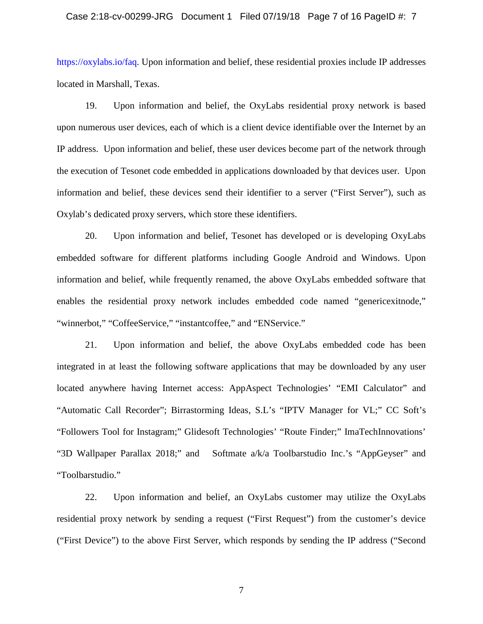#### Case 2:18-cv-00299-JRG Document 1 Filed 07/19/18 Page 7 of 16 PageID #: 7

[https://oxylabs.io/faq.](https://oxylabs.io/faq) Upon information and belief, these residential proxies include IP addresses located in Marshall, Texas.

19. Upon information and belief, the OxyLabs residential proxy network is based upon numerous user devices, each of which is a client device identifiable over the Internet by an IP address. Upon information and belief, these user devices become part of the network through the execution of Tesonet code embedded in applications downloaded by that devices user. Upon information and belief, these devices send their identifier to a server ("First Server"), such as Oxylab's dedicated proxy servers, which store these identifiers.

20. Upon information and belief, Tesonet has developed or is developing OxyLabs embedded software for different platforms including Google Android and Windows. Upon information and belief, while frequently renamed, the above OxyLabs embedded software that enables the residential proxy network includes embedded code named "genericexitnode," "winnerbot," "CoffeeService," "instantcoffee," and "ENService."

21. Upon information and belief, the above OxyLabs embedded code has been integrated in at least the following software applications that may be downloaded by any user located anywhere having Internet access: AppAspect Technologies' "EMI Calculator" and "Automatic Call Recorder"; Birrastorming Ideas, S.L's "IPTV Manager for VL;" CC Soft's "Followers Tool for Instagram;" Glidesoft Technologies' "Route Finder;" ImaTechInnovations' "3D Wallpaper Parallax 2018;" and Softmate a/k/a Toolbarstudio Inc.'s "AppGeyser" and "Toolbarstudio."

22. Upon information and belief, an OxyLabs customer may utilize the OxyLabs residential proxy network by sending a request ("First Request") from the customer's device ("First Device") to the above First Server, which responds by sending the IP address ("Second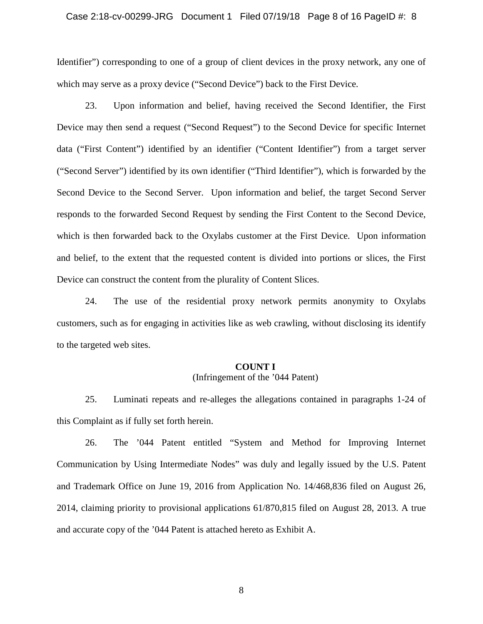#### Case 2:18-cv-00299-JRG Document 1 Filed 07/19/18 Page 8 of 16 PageID #: 8

Identifier") corresponding to one of a group of client devices in the proxy network, any one of which may serve as a proxy device ("Second Device") back to the First Device.

23. Upon information and belief, having received the Second Identifier, the First Device may then send a request ("Second Request") to the Second Device for specific Internet data ("First Content") identified by an identifier ("Content Identifier") from a target server ("Second Server") identified by its own identifier ("Third Identifier"), which is forwarded by the Second Device to the Second Server. Upon information and belief, the target Second Server responds to the forwarded Second Request by sending the First Content to the Second Device, which is then forwarded back to the Oxylabs customer at the First Device. Upon information and belief, to the extent that the requested content is divided into portions or slices, the First Device can construct the content from the plurality of Content Slices.

24. The use of the residential proxy network permits anonymity to Oxylabs customers, such as for engaging in activities like as web crawling, without disclosing its identify to the targeted web sites.

# **COUNT I**

# (Infringement of the '044 Patent)

25. Luminati repeats and re-alleges the allegations contained in paragraphs 1-24 of this Complaint as if fully set forth herein.

26. The '044 Patent entitled "System and Method for Improving Internet Communication by Using Intermediate Nodes" was duly and legally issued by the U.S. Patent and Trademark Office on June 19, 2016 from Application No. 14/468,836 filed on August 26, 2014, claiming priority to provisional applications 61/870,815 filed on August 28, 2013. A true and accurate copy of the '044 Patent is attached hereto as Exhibit A.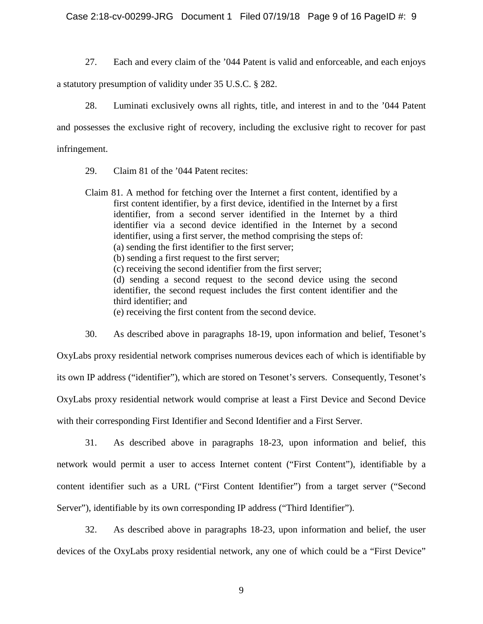Case 2:18-cv-00299-JRG Document 1 Filed 07/19/18 Page 9 of 16 PageID #: 9

27. Each and every claim of the '044 Patent is valid and enforceable, and each enjoys

a statutory presumption of validity under 35 U.S.C. § 282.

28. Luminati exclusively owns all rights, title, and interest in and to the '044 Patent and possesses the exclusive right of recovery, including the exclusive right to recover for past infringement.

29. Claim 81 of the '044 Patent recites:

Claim 81. A method for fetching over the Internet a first content, identified by a first content identifier, by a first device, identified in the Internet by a first identifier, from a second server identified in the Internet by a third identifier via a second device identified in the Internet by a second identifier, using a first server, the method comprising the steps of: (a) sending the first identifier to the first server; (b) sending a first request to the first server; (c) receiving the second identifier from the first server; (d) sending a second request to the second device using the second identifier, the second request includes the first content identifier and the third identifier; and (e) receiving the first content from the second device.

30. As described above in paragraphs 18-19, upon information and belief, Tesonet's OxyLabs proxy residential network comprises numerous devices each of which is identifiable by its own IP address ("identifier"), which are stored on Tesonet's servers. Consequently, Tesonet's OxyLabs proxy residential network would comprise at least a First Device and Second Device with their corresponding First Identifier and Second Identifier and a First Server.

31. As described above in paragraphs 18-23, upon information and belief, this network would permit a user to access Internet content ("First Content"), identifiable by a content identifier such as a URL ("First Content Identifier") from a target server ("Second Server"), identifiable by its own corresponding IP address ("Third Identifier").

32. As described above in paragraphs 18-23, upon information and belief, the user devices of the OxyLabs proxy residential network, any one of which could be a "First Device"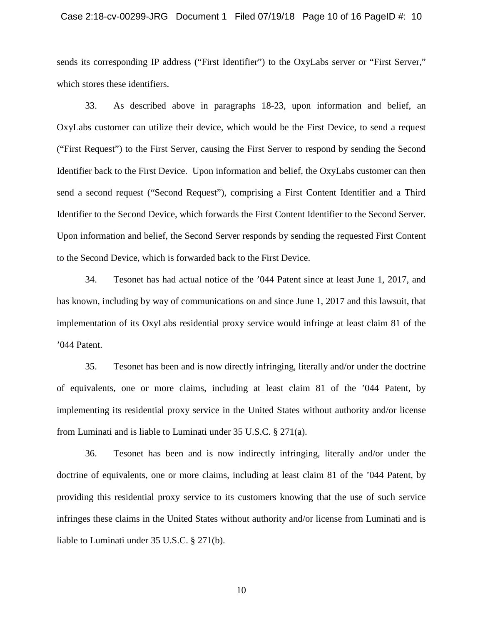#### Case 2:18-cv-00299-JRG Document 1 Filed 07/19/18 Page 10 of 16 PageID #: 10

sends its corresponding IP address ("First Identifier") to the OxyLabs server or "First Server," which stores these identifiers.

33. As described above in paragraphs 18-23, upon information and belief, an OxyLabs customer can utilize their device, which would be the First Device, to send a request ("First Request") to the First Server, causing the First Server to respond by sending the Second Identifier back to the First Device. Upon information and belief, the OxyLabs customer can then send a second request ("Second Request"), comprising a First Content Identifier and a Third Identifier to the Second Device, which forwards the First Content Identifier to the Second Server. Upon information and belief, the Second Server responds by sending the requested First Content to the Second Device, which is forwarded back to the First Device.

34. Tesonet has had actual notice of the '044 Patent since at least June 1, 2017, and has known, including by way of communications on and since June 1, 2017 and this lawsuit, that implementation of its OxyLabs residential proxy service would infringe at least claim 81 of the '044 Patent.

35. Tesonet has been and is now directly infringing, literally and/or under the doctrine of equivalents, one or more claims, including at least claim 81 of the '044 Patent, by implementing its residential proxy service in the United States without authority and/or license from Luminati and is liable to Luminati under 35 U.S.C. § 271(a).

36. Tesonet has been and is now indirectly infringing, literally and/or under the doctrine of equivalents, one or more claims, including at least claim 81 of the '044 Patent, by providing this residential proxy service to its customers knowing that the use of such service infringes these claims in the United States without authority and/or license from Luminati and is liable to Luminati under 35 U.S.C. § 271(b).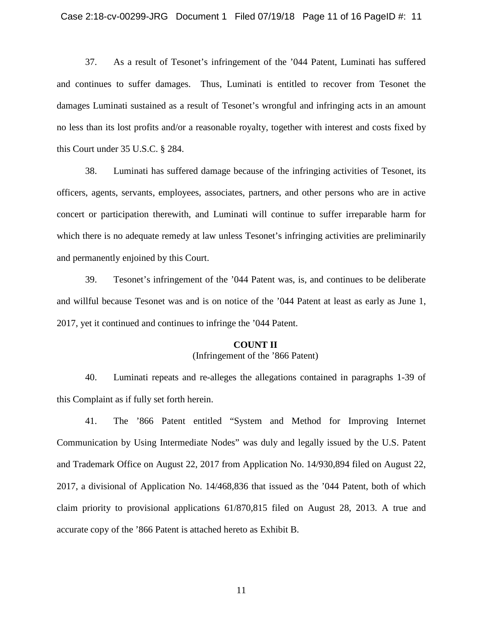37. As a result of Tesonet's infringement of the '044 Patent, Luminati has suffered and continues to suffer damages. Thus, Luminati is entitled to recover from Tesonet the damages Luminati sustained as a result of Tesonet's wrongful and infringing acts in an amount no less than its lost profits and/or a reasonable royalty, together with interest and costs fixed by this Court under 35 U.S.C. § 284.

38. Luminati has suffered damage because of the infringing activities of Tesonet, its officers, agents, servants, employees, associates, partners, and other persons who are in active concert or participation therewith, and Luminati will continue to suffer irreparable harm for which there is no adequate remedy at law unless Tesonet's infringing activities are preliminarily and permanently enjoined by this Court.

39. Tesonet's infringement of the '044 Patent was, is, and continues to be deliberate and willful because Tesonet was and is on notice of the '044 Patent at least as early as June 1, 2017, yet it continued and continues to infringe the '044 Patent.

#### **COUNT II**

### (Infringement of the '866 Patent)

40. Luminati repeats and re-alleges the allegations contained in paragraphs 1-39 of this Complaint as if fully set forth herein.

41. The '866 Patent entitled "System and Method for Improving Internet Communication by Using Intermediate Nodes" was duly and legally issued by the U.S. Patent and Trademark Office on August 22, 2017 from Application No. 14/930,894 filed on August 22, 2017, a divisional of Application No. 14/468,836 that issued as the '044 Patent, both of which claim priority to provisional applications 61/870,815 filed on August 28, 2013. A true and accurate copy of the '866 Patent is attached hereto as Exhibit B.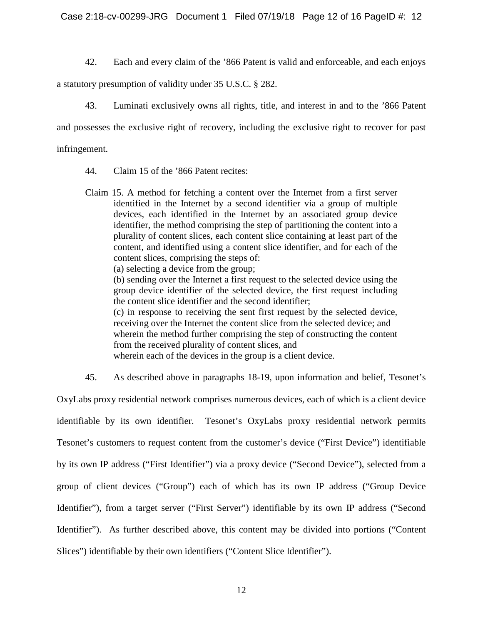Case 2:18-cv-00299-JRG Document 1 Filed 07/19/18 Page 12 of 16 PageID #: 12

42. Each and every claim of the '866 Patent is valid and enforceable, and each enjoys

a statutory presumption of validity under 35 U.S.C. § 282.

43. Luminati exclusively owns all rights, title, and interest in and to the '866 Patent and possesses the exclusive right of recovery, including the exclusive right to recover for past infringement.

44. Claim 15 of the '866 Patent recites:

Claim 15. A method for fetching a content over the Internet from a first server identified in the Internet by a second identifier via a group of multiple devices, each identified in the Internet by an associated group device identifier, the method comprising the step of partitioning the content into a plurality of content slices, each content slice containing at least part of the content, and identified using a content slice identifier, and for each of the content slices, comprising the steps of: (a) selecting a device from the group; (b) sending over the Internet a first request to the selected device using the group device identifier of the selected device, the first request including the content slice identifier and the second identifier; (c) in response to receiving the sent first request by the selected device, receiving over the Internet the content slice from the selected device; and wherein the method further comprising the step of constructing the content from the received plurality of content slices, and wherein each of the devices in the group is a client device.

45. As described above in paragraphs 18-19, upon information and belief, Tesonet's

OxyLabs proxy residential network comprises numerous devices, each of which is a client device identifiable by its own identifier. Tesonet's OxyLabs proxy residential network permits Tesonet's customers to request content from the customer's device ("First Device") identifiable by its own IP address ("First Identifier") via a proxy device ("Second Device"), selected from a group of client devices ("Group") each of which has its own IP address ("Group Device Identifier"), from a target server ("First Server") identifiable by its own IP address ("Second Identifier"). As further described above, this content may be divided into portions ("Content Slices") identifiable by their own identifiers ("Content Slice Identifier").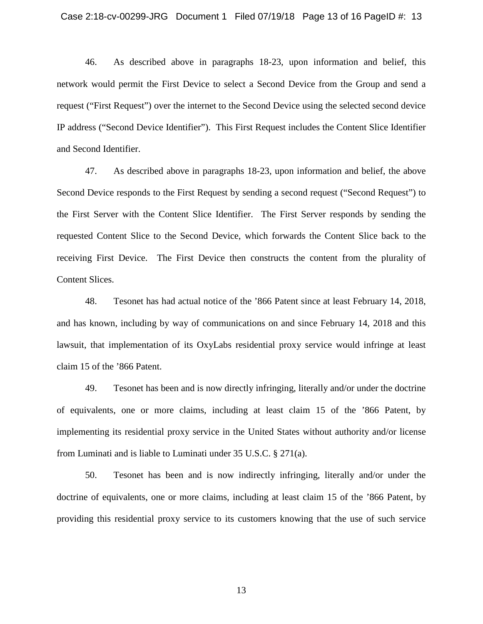46. As described above in paragraphs 18-23, upon information and belief, this network would permit the First Device to select a Second Device from the Group and send a request ("First Request") over the internet to the Second Device using the selected second device IP address ("Second Device Identifier"). This First Request includes the Content Slice Identifier and Second Identifier.

47. As described above in paragraphs 18-23, upon information and belief, the above Second Device responds to the First Request by sending a second request ("Second Request") to the First Server with the Content Slice Identifier. The First Server responds by sending the requested Content Slice to the Second Device, which forwards the Content Slice back to the receiving First Device. The First Device then constructs the content from the plurality of Content Slices.

48. Tesonet has had actual notice of the '866 Patent since at least February 14, 2018, and has known, including by way of communications on and since February 14, 2018 and this lawsuit, that implementation of its OxyLabs residential proxy service would infringe at least claim 15 of the '866 Patent.

49. Tesonet has been and is now directly infringing, literally and/or under the doctrine of equivalents, one or more claims, including at least claim 15 of the '866 Patent, by implementing its residential proxy service in the United States without authority and/or license from Luminati and is liable to Luminati under 35 U.S.C. § 271(a).

50. Tesonet has been and is now indirectly infringing, literally and/or under the doctrine of equivalents, one or more claims, including at least claim 15 of the '866 Patent, by providing this residential proxy service to its customers knowing that the use of such service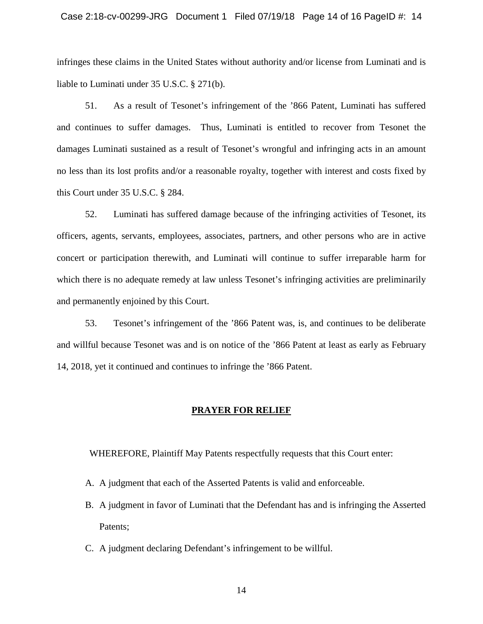#### Case 2:18-cv-00299-JRG Document 1 Filed 07/19/18 Page 14 of 16 PageID #: 14

infringes these claims in the United States without authority and/or license from Luminati and is liable to Luminati under 35 U.S.C. § 271(b).

51. As a result of Tesonet's infringement of the '866 Patent, Luminati has suffered and continues to suffer damages. Thus, Luminati is entitled to recover from Tesonet the damages Luminati sustained as a result of Tesonet's wrongful and infringing acts in an amount no less than its lost profits and/or a reasonable royalty, together with interest and costs fixed by this Court under 35 U.S.C. § 284.

52. Luminati has suffered damage because of the infringing activities of Tesonet, its officers, agents, servants, employees, associates, partners, and other persons who are in active concert or participation therewith, and Luminati will continue to suffer irreparable harm for which there is no adequate remedy at law unless Tesonet's infringing activities are preliminarily and permanently enjoined by this Court.

53. Tesonet's infringement of the '866 Patent was, is, and continues to be deliberate and willful because Tesonet was and is on notice of the '866 Patent at least as early as February 14, 2018, yet it continued and continues to infringe the '866 Patent.

#### **PRAYER FOR RELIEF**

WHEREFORE, Plaintiff May Patents respectfully requests that this Court enter:

- A. A judgment that each of the Asserted Patents is valid and enforceable.
- B. A judgment in favor of Luminati that the Defendant has and is infringing the Asserted Patents;
- C. A judgment declaring Defendant's infringement to be willful.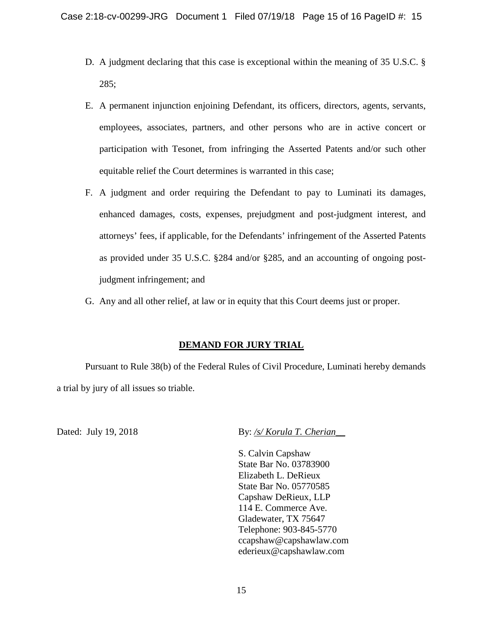- D. A judgment declaring that this case is exceptional within the meaning of 35 U.S.C. § 285;
- E. A permanent injunction enjoining Defendant, its officers, directors, agents, servants, employees, associates, partners, and other persons who are in active concert or participation with Tesonet, from infringing the Asserted Patents and/or such other equitable relief the Court determines is warranted in this case;
- F. A judgment and order requiring the Defendant to pay to Luminati its damages, enhanced damages, costs, expenses, prejudgment and post-judgment interest, and attorneys' fees, if applicable, for the Defendants' infringement of the Asserted Patents as provided under 35 U.S.C. §284 and/or §285, and an accounting of ongoing postjudgment infringement; and
- G. Any and all other relief, at law or in equity that this Court deems just or proper.

# **DEMAND FOR JURY TRIAL**

Pursuant to Rule 38(b) of the Federal Rules of Civil Procedure, Luminati hereby demands a trial by jury of all issues so triable.

Dated: July 19, 2018 **By:** */s/ Korula T. Cherian* 

S. Calvin Capshaw State Bar No. 03783900 Elizabeth L. DeRieux State Bar No. 05770585 Capshaw DeRieux, LLP 114 E. Commerce Ave. Gladewater, TX 75647 Telephone: 903-845-5770 ccapshaw@capshawlaw.com ederieux@capshawlaw.com